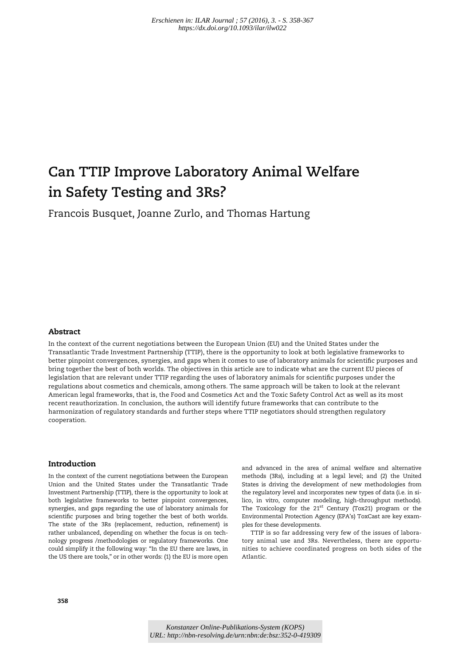# Can TTIP Improve Laboratory Animal Welfare in Safety Testing and 3Rs?

Francois Busquet, Joanne Zurlo, and Thomas Hartung

# Abstract

In the context of the current negotiations between the European Union (EU) and the United States under the Transatlantic Trade Investment Partnership (TTIP), there is the opportunity to look at both legislative frameworks to better pinpoint convergences, synergies, and gaps when it comes to use of laboratory animals for scientific purposes and bring together the best of both worlds. The objectives in this article are to indicate what are the current EU pieces of legislation that are relevant under TTIP regarding the uses of laboratory animals for scientific purposes under the regulations about cosmetics and chemicals, among others. The same approach will be taken to look at the relevant American legal frameworks, that is, the Food and Cosmetics Act and the Toxic Safety Control Act as well as its most recent reauthorization. In conclusion, the authors will identify future frameworks that can contribute to the harmonization of regulatory standards and further steps where TTIP negotiators should strengthen regulatory cooperation.

# Introduction

In the context of the current negotiations between the European Union and the United States under the Transatlantic Trade Investment Partnership (TTIP), there is the opportunity to look at both legislative frameworks to better pinpoint convergences, synergies, and gaps regarding the use of laboratory animals for scientific purposes and bring together the best of both worlds. The state of the 3Rs (replacement, reduction, refinement) is rather unbalanced, depending on whether the focus is on technology progress /methodologies or regulatory frameworks. One could simplify it the following way: "In the EU there are laws, in the US there are tools," or in other words: (1) the EU is more open and advanced in the area of animal welfare and alternative methods (3Rs), including at a legal level; and (2) the United States is driving the development of new methodologies from the regulatory level and incorporates new types of data (i.e. in silico, in vitro, computer modeling, high-throughput methods). The Toxicology for the 21<sup>st</sup> Century (Tox21) program or the Environmental Protection Agency (EPA's) ToxCast are key examples for these developments.

TTIP is so far addressing very few of the issues of laboratory animal use and 3Rs. Nevertheless, there are opportunities to achieve coordinated progress on both sides of the Atlantic.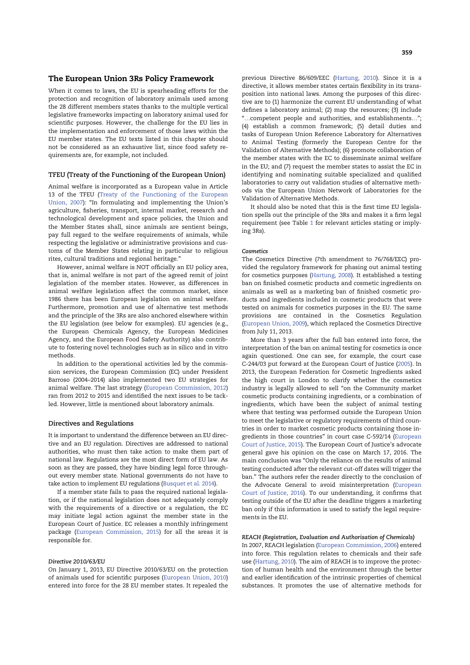## The European Union 3Rs Policy Framework

When it comes to laws, the EU is spearheading efforts for the protection and recognition of laboratory animals used among the 28 different members states thanks to the multiple vertical legislative frameworks impacting on laboratory animal used for scientific purposes. However, the challenge for the EU lies in the implementation and enforcement of those laws within the EU member states. The EU texts listed in this chapter should not be considered as an exhaustive list, since food safety requirements are, for example, not included.

#### TFEU (Treaty of the Functioning of the European Union)

Animal welfare is incorporated as a European value in Article 13 of the TFEU (Treaty of the Functioning of the European Union, 2007): "In formulating and implementing the Union's agriculture, fisheries, transport, internal market, research and technological development and space policies, the Union and the Member States shall, since animals are sentient beings, pay full regard to the welfare requirements of animals, while respecting the legislative or administrative provisions and customs of the Member States relating in particular to religious rites, cultural traditions and regional heritage."

However, animal welfare is NOT officially an EU policy area, that is, animal welfare is not part of the agreed remit of joint legislation of the member states. However, as differences in animal welfare legislation affect the common market, since 1986 there has been European legislation on animal welfare. Furthermore, promotion and use of alternative test methods and the principle of the 3Rs are also anchored elsewhere within the EU legislation (see below for examples). EU agencies (e.g., the European Chemicals Agency, the European Medicines Agency, and the European Food Safety Authority) also contribute to fostering novel technologies such as in silico and in vitro methods.

In addition to the operational activities led by the commission services, the European Commission (EC) under President Barroso (2004–2014) also implemented two EU strategies for animal welfare. The last strategy (European Commission, 2012) ran from 2012 to 2015 and identified the next issues to be tackled. However, little is mentioned about laboratory animals.

#### Directives and Regulations

It is important to understand the difference between an EU directive and an EU regulation. Directives are addressed to national authorities, who must then take action to make them part of national law. Regulations are the most direct form of EU law. As soon as they are passed, they have binding legal force throughout every member state. National governments do not have to take action to implement EU regulations (Busquet et al. 2014).

If a member state fails to pass the required national legislation, or if the national legislation does not adequately comply with the requirements of a directive or a regulation, the EC may initiate legal action against the member state in the European Court of Justice. EC releases a monthly infringement package (European Commission, 2015) for all the areas it is responsible for.

#### Directive 2010/63/EU

On January 1, 2013, EU Directive 2010/63/EU on the protection of animals used for scientific purposes (European Union, 2010) entered into force for the 28 EU member states. It repealed the previous Directive 86/609/EEC (Hartung, 2010). Since it is a directive, it allows member states certain flexibility in its transposition into national laws. Among the purposes of this directive are to (1) harmonize the current EU understanding of what defines a laboratory animal; (2) map the resources; (3) include "…competent people and authorities, and establishments…"; (4) establish a common framework; (5) detail duties and tasks of European Union Reference Laboratory for Alternatives to Animal Testing (formerly the European Centre for the Validation of Alternative Methods); (6) promote collaboration of the member states with the EC to disseminate animal welfare in the EU; and (7) request the member states to assist the EC in identifying and nominating suitable specialized and qualified laboratories to carry out validation studies of alternative methods via the European Union Network of Laboratories for the Validation of Alternative Methods.

It should also be noted that this is the first time EU legislation spells out the principle of the 3Rs and makes it a firm legal requirement (see Table 1 for relevant articles stating or implying 3Rs).

## **Cosmetics**

The Cosmetics Directive (7th amendment to 76/768/EEC) provided the regulatory framework for phasing out animal testing for cosmetics purposes (Hartung, 2008). It established a testing ban on finished cosmetic products and cosmetic ingredients on animals as well as a marketing ban of finished cosmetic products and ingredients included in cosmetic products that were tested on animals for cosmetics purposes in the EU. The same provisions are contained in the Cosmetics Regulation (European Union, 2009), which replaced the Cosmetics Directive from July 11, 2013.

More than 3 years after the full ban entered into force, the interpretation of the ban on animal testing for cosmetics is once again questioned. One can see, for example, the court case C-244/03 put forward at the European Court of Justice (2005). In 2013, the European Federation for Cosmetic Ingredients asked the high court in London to clarify whether the cosmetics industry is legally allowed to sell "on the Community market cosmetic products containing ingredients, or a combination of ingredients, which have been the subject of animal testing where that testing was performed outside the European Union to meet the legislative or regulatory requirements of third countries in order to market cosmetic products containing those ingredients in those countries" in court case C-592/14 (European Court of Justice, 2015). The European Court of Justice's advocate general gave his opinion on the case on March 17, 2016. The main conclusion was "Only the reliance on the results of animal testing conducted after the relevant cut-off dates will trigger the ban." The authors refer the reader directly to the conclusion of the Advocate General to avoid misinterpretation (European Court of Justice, 2016). To our understanding, it confirms that testing outside of the EU after the deadline triggers a marketing ban only if this information is used to satisfy the legal requirements in the EU.

#### REACH (Registration, Evaluation and Authorisation of Chemicals)

In 2007, REACH legislation (European Commission, 2006) entered into force. This regulation relates to chemicals and their safe use (Hartung, 2010). The aim of REACH is to improve the protection of human health and the environment through the better and earlier identification of the intrinsic properties of chemical substances. It promotes the use of alternative methods for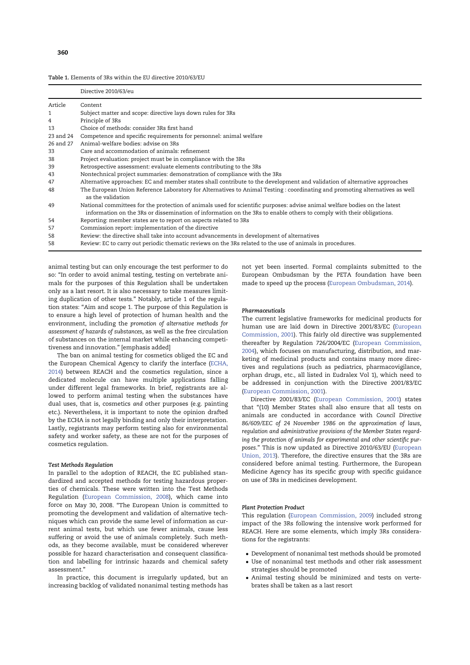| <b>Table 1.</b> Elements of 3Rs within the EU directive 2010/63/EU |  |
|--------------------------------------------------------------------|--|
|--------------------------------------------------------------------|--|

|              | Directive 2010/63/eu                                                                                                                                                                                                                               |
|--------------|----------------------------------------------------------------------------------------------------------------------------------------------------------------------------------------------------------------------------------------------------|
| Article      | Content                                                                                                                                                                                                                                            |
| $\mathbf{1}$ | Subject matter and scope: directive lays down rules for 3Rs                                                                                                                                                                                        |
| 4            | Principle of 3Rs                                                                                                                                                                                                                                   |
| 13           | Choice of methods: consider 3Rs first hand                                                                                                                                                                                                         |
| 23 and 24    | Competence and specific requirements for personnel: animal welfare                                                                                                                                                                                 |
| 26 and 27    | Animal-welfare bodies: advise on 3Rs                                                                                                                                                                                                               |
| 33           | Care and accommodation of animals: refinement                                                                                                                                                                                                      |
| 38           | Project evaluation: project must be in compliance with the 3Rs                                                                                                                                                                                     |
| 39           | Retrospective assessment: evaluate elements contributing to the 3Rs                                                                                                                                                                                |
| 43           | Nontechnical project summaries: demonstration of compliance with the 3Rs                                                                                                                                                                           |
| 47           | Alternative approaches: EC and member states shall contribute to the development and validation of alternative approaches                                                                                                                          |
| 48           | The European Union Reference Laboratory for Alternatives to Animal Testing: coordinating and promoting alternatives as well<br>as the validation                                                                                                   |
| 49           | National committees for the protection of animals used for scientific purposes: advise animal welfare bodies on the latest<br>information on the 3Rs or dissemination of information on the 3Rs to enable others to comply with their obligations. |
| 54           | Reporting: member states are to report on aspects related to 3Rs                                                                                                                                                                                   |
| 57           | Commission report: implementation of the directive                                                                                                                                                                                                 |
| 58           | Review: the directive shall take into account advancements in development of alternatives                                                                                                                                                          |
| 58           | Review: EC to carry out periodic thematic reviews on the 3Rs related to the use of animals in procedures.                                                                                                                                          |

animal testing but can only encourage the test performer to do so: "In order to avoid animal testing, testing on vertebrate animals for the purposes of this Regulation shall be undertaken only as a last resort. It is also necessary to take measures limiting duplication of other tests." Notably, article 1 of the regulation states: "Aim and scope 1. The purpose of this Regulation is to ensure a high level of protection of human health and the environment, including the promotion of alternative methods for assessment of hazards of substances, as well as the free circulation of substances on the internal market while enhancing competitiveness and innovation." [emphasis added]

The ban on animal testing for cosmetics obliged the EC and the European Chemical Agency to clarify the interface (ECHA, 2014) between REACH and the cosmetics regulation, since a dedicated molecule can have multiple applications falling under different legal frameworks. In brief, registrants are allowed to perform animal testing when the substances have dual uses, that is, cosmetics and other purposes (e.g. painting etc.). Nevertheless, it is important to note the opinion drafted by the ECHA is not legally binding and only their interpretation. Lastly, registrants may perform testing also for environmental safety and worker safety, as these are not for the purposes of cosmetics regulation.

#### Test Methods Regulation

In parallel to the adoption of REACH, the EC published standardized and accepted methods for testing hazardous properties of chemicals. These were written into the Test Methods Regulation (European Commission, 2008), which came into force on May 30, 2008. "The European Union is committed to promoting the development and validation of alternative techniques which can provide the same level of information as current animal tests, but which use fewer animals, cause less suffering or avoid the use of animals completely. Such methods, as they become available, must be considered wherever possible for hazard characterisation and consequent classification and labelling for intrinsic hazards and chemical safety assessment."

In practice, this document is irregularly updated, but an increasing backlog of validated nonanimal testing methods has not yet been inserted. Formal complaints submitted to the European Ombudsman by the PETA foundation have been made to speed up the process (European Ombudsman, 2014).

#### Pharmaceuticals

The current legislative frameworks for medicinal products for human use are laid down in Directive 2001/83/EC (European Commission, 2001). This fairly old directive was supplemented thereafter by Regulation 726/2004/EC (European Commission, 2004), which focuses on manufacturing, distribution, and marketing of medicinal products and contains many more directives and regulations (such as pediatrics, pharmacovigilance, orphan drugs, etc., all listed in Eudralex Vol 1), which need to be addressed in conjunction with the Directive 2001/83/EC (European Commission, 2001).

Directive 2001/83/EC (European Commission, 2001) states that "(10) Member States shall also ensure that all tests on animals are conducted in accordance with Council Directive 86/609/EEC of 24 November 1986 on the approximation of laws, regulation and administrative provisions of the Member States regarding the protection of animals for experimental and other scientific purposes." This is now updated as Directive 2010/63/EU (European Union, 2013). Therefore, the directive ensures that the 3Rs are considered before animal testing. Furthermore, the European Medicine Agency has its specific group with specific guidance on use of 3Rs in medicines development.

#### Plant Protection Product

This regulation (European Commission, 2009) included strong impact of the 3Rs following the intensive work performed for REACH. Here are some elements, which imply 3Rs considerations for the registrants:

- Development of nonanimal test methods should be promoted
- Use of nonanimal test methods and other risk assessment strategies should be promoted
- Animal testing should be minimized and tests on vertebrates shall be taken as a last resort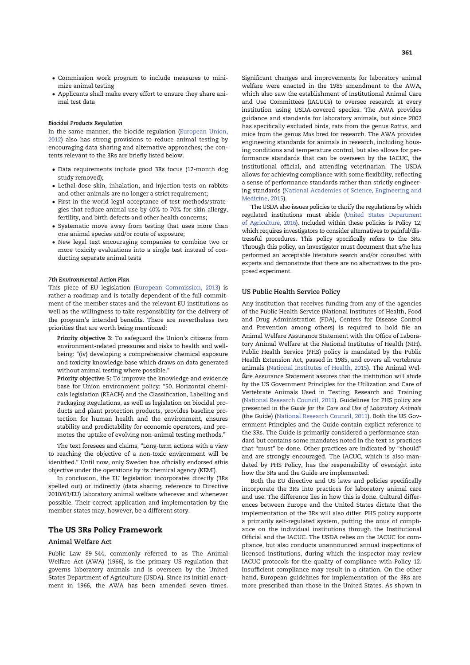- Commission work program to include measures to minimize animal testing
- Applicants shall make every effort to ensure they share animal test data

#### Biocidal Products Regulation

In the same manner, the biocide regulation (European Union, 2012) also has strong provisions to reduce animal testing by encouraging data sharing and alternative approaches; the contents relevant to the 3Rs are briefly listed below.

- Data requirements include good 3Rs focus (12-month dog study removed);
- Lethal-dose skin, inhalation, and injection tests on rabbits and other animals are no longer a strict requirement;
- First-in-the-world legal acceptance of test methods/strategies that reduce animal use by 40% to 70% for skin allergy, fertility, and birth defects and other health concerns;
- Systematic move away from testing that uses more than one animal species and/or route of exposure;
- New legal text encouraging companies to combine two or more toxicity evaluations into a single test instead of conducting separate animal tests

### 7th Environmental Action Plan

This piece of EU legislation (European Commission, 2013) is rather a roadmap and is totally dependent of the full commitment of the member states and the relevant EU institutions as well as the willingness to take responsibility for the delivery of the program's intended benefits. There are nevertheless two priorities that are worth being mentioned:

Priority objective 3: To safeguard the Union's citizens from environment-related pressures and risks to health and wellbeing: "(iv) developing a comprehensive chemical exposure and toxicity knowledge base which draws on data generated without animal testing where possible."

Priority objective 5: To improve the knowledge and evidence base for Union environment policy: "50. Horizontal chemicals legislation (REACH) and the Classification, Labelling and Packaging Regulations, as well as legislation on biocidal products and plant protection products, provides baseline protection for human health and the environment, ensures stability and predictability for economic operators, and promotes the uptake of evolving non-animal testing methods."

The text foresees and claims, "Long-term actions with a view to reaching the objective of a non-toxic environment will be identified." Until now, only Sweden has officially endorsed sthis objective under the operations by its chemical agency (KEMI).

In conclusion, the EU legislation incorporates directly (3Rs spelled out) or indirectly (data sharing, reference to Directive 2010/63/EU) laboratory animal welfare wherever and whenever possible. Their correct application and implementation by the member states may, however, be a different story.

## The US 3Rs Policy Framework

## Animal Welfare Act

Public Law 89–544, commonly referred to as The Animal Welfare Act (AWA) (1966), is the primary US regulation that governs laboratory animals and is overseen by the United States Department of Agriculture (USDA). Since its initial enactment in 1966, the AWA has been amended seven times.

Significant changes and improvements for laboratory animal welfare were enacted in the 1985 amendment to the AWA, which also saw the establishment of Institutional Animal Care and Use Committees (IACUCs) to oversee research at every institution using USDA-covered species. The AWA provides guidance and standards for laboratory animals, but since 2002 has specifically excluded birds, rats from the genus Rattus, and mice from the genus Mus bred for research. The AWA provides engineering standards for animals in research, including housing conditions and temperature control, but also allows for performance standards that can be overseen by the IACUC, the institutional official, and attending veterinarian. The USDA allows for achieving compliance with some flexibility, reflecting a sense of performance standards rather than strictly engineering standards (National Academies of Science, Engineering and Medicine, 2015).

The USDA also issues policies to clarify the regulations by which regulated institutions must abide (United States Department of Agriculture, 2016). Included within these policies is Policy 12, which requires investigators to consider alternatives to painful/distressful procedures. This policy specifically refers to the 3Rs. Through this policy, an investigator must document that s/he has performed an acceptable literature search and/or consulted with experts and demonstrate that there are no alternatives to the proposed experiment.

#### US Public Health Service Policy

Any institution that receives funding from any of the agencies of the Public Health Service (National Institutes of Health, Food and Drug Administration (FDA), Centers for Disease Control and Prevention among others) is required to hold file an Animal Welfare Assurance Statement with the Office of Laboratory Animal Welfare at the National Institutes of Health (NIH). Public Health Service (PHS) policy is mandated by the Public Health Extension Act, passed in 1985, and covers all vertebrate animals (National Institutes of Health, 2015). The Animal Welfare Assurance Statement assures that the institution will abide by the US Government Principles for the Utilization and Care of Vertebrate Animals Used in Testing, Research and Training (National Research Council, 2011). Guidelines for PHS policy are presented in the Guide for the Care and Use of Laboratory Animals (the Guide) (National Research Council, 2011). Both the US Government Principles and the Guide contain explicit reference to the 3Rs. The Guide is primarily considered a performance standard but contains some mandates noted in the text as practices that "must" be done. Other practices are indicated by "should" and are strongly encouraged. The IACUC, which is also mandated by PHS Policy, has the responsibility of oversight into how the 3Rs and the Guide are implemented.

Both the EU directive and US laws and policies specifically incorporate the 3Rs into practices for laboratory animal care and use. The difference lies in how this is done. Cultural differences between Europe and the United States dictate that the implementation of the 3Rs will also differ. PHS policy supports a primarily self-regulated system, putting the onus of compliance on the individual institutions through the Institutional Official and the IACUC. The USDA relies on the IACUC for compliance, but also conducts unannounced annual inspections of licensed institutions, during which the inspector may review IACUC protocols for the quality of compliance with Policy 12. Insufficient compliance may result in a citation. On the other hand, European guidelines for implementation of the 3Rs are more prescribed than those in the United States. As shown in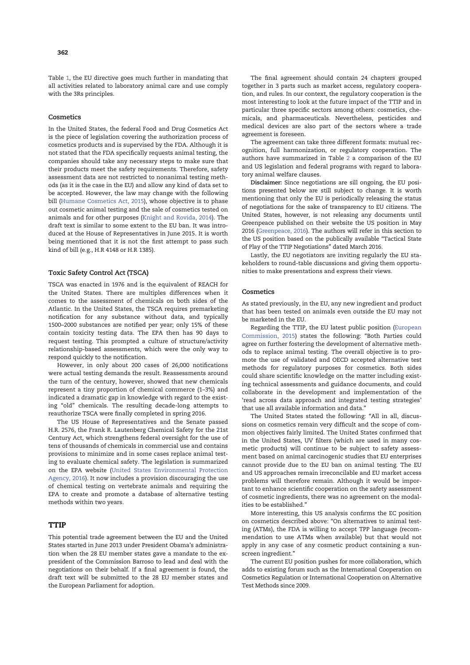Table 1, the EU directive goes much further in mandating that all activities related to laboratory animal care and use comply with the 3Rs principles.

## **Cosmetics**

In the United States, the federal Food and Drug Cosmetics Act is the piece of legislation covering the authorization process of cosmetics products and is supervised by the FDA. Although it is not stated that the FDA specifically requests animal testing, the companies should take any necessary steps to make sure that their products meet the safety requirements. Therefore, safety assessment data are not restricted to nonanimal testing methods (as it is the case in the EU) and allow any kind of data set to be accepted. However, the law may change with the following bill (Humane Cosmetics Act, 2015), whose objective is to phase out cosmetic animal testing and the sale of cosmetics tested on animals and for other purposes (Knight and Rovida, 2014). The draft text is similar to some extent to the EU ban. It was introduced at the House of Representatives in June 2015. It is worth being mentioned that it is not the first attempt to pass such kind of bill (e.g., H.R 4148 or H.R 1385).

## Toxic Safety Control Act (TSCA)

TSCA was enacted in 1976 and is the equivalent of REACH for the United States. There are multiples differences when it comes to the assessment of chemicals on both sides of the Atlantic. In the United States, the TSCA requires premarketing notification for any substance without data, and typically 1500–2000 substances are notified per year; only 15% of these contain toxicity testing data. The EPA then has 90 days to request testing. This prompted a culture of structure/activity relationship-based assessments, which were the only way to respond quickly to the notification.

However, in only about 200 cases of 26,000 notifications were actual testing demands the result. Reassessments around the turn of the century, however, showed that new chemicals represent a tiny proportion of chemical commerce (1–3%) and indicated a dramatic gap in knowledge with regard to the existing "old" chemicals. The resulting decade-long attempts to reauthorize TSCA were finally completed in spring 2016.

The US House of Representatives and the Senate passed H.R. 2576, the Frank R. Lautenberg Chemical Safety for the 21st Century Act, which strengthens federal oversight for the use of tens of thousands of chemicals in commercial use and contains provisions to minimize and in some cases replace animal testing to evaluate chemical safety. The legislation is summarized on the EPA website (United States Environmental Protection Agency, 2016). It now includes a provision discouraging the use of chemical testing on vertebrate animals and requiring the EPA to create and promote a database of alternative testing methods within two years.

## **TTIP**

This potential trade agreement between the EU and the United States started in June 2013 under President Obama's administration when the 28 EU member states gave a mandate to the expresident of the Commission Barroso to lead and deal with the negotiations on their behalf. If a final agreement is found, the draft text will be submitted to the 28 EU member states and the European Parliament for adoption.

The final agreement should contain 24 chapters grouped together in 3 parts such as market access, regulatory cooperation, and rules. In our context, the regulatory cooperation is the most interesting to look at the future impact of the TTIP and in particular three specific sectors among others: cosmetics, chemicals, and pharmaceuticals. Nevertheless, pesticides and medical devices are also part of the sectors where a trade agreement is foreseen.

The agreement can take three different formats: mutual recognition, full harmonization, or regulatory cooperation. The authors have summarized in Table 2 a comparison of the EU and US legislation and federal programs with regard to laboratory animal welfare clauses.

Disclaimer: Since negotiations are sill ongoing, the EU positions presented below are still subject to change. It is worth mentioning that only the EU is periodically releasing the status of negotiations for the sake of transparency to EU citizens. The United States, however, is not releasing any documents until Greenpeace published on their website the US position in May 2016 (Greenpeace, 2016). The authors will refer in this section to the US position based on the publically available "Tactical State of Play of the TTIP Negotiations" dated March 2016.

Lastly, the EU negotiators are inviting regularly the EU stakeholders to round-table discussions and giving them opportunities to make presentations and express their views.

#### **Cosmetics**

As stated previously, in the EU, any new ingredient and product that has been tested on animals even outside the EU may not be marketed in the EU.

Regarding the TTIP, the EU latest public position (European Commission, 2015) states the following: "Both Parties could agree on further fostering the development of alternative methods to replace animal testing. The overall objective is to promote the use of validated and OECD accepted alternative test methods for regulatory purposes for cosmetics. Both sides could share scientific knowledge on the matter including existing technical assessments and guidance documents, and could collaborate in the development and implementation of the 'read across data approach and integrated testing strategies' that use all available information and data."

The United States stated the following: "All in all, discussions on cosmetics remain very difficult and the scope of common objectives fairly limited. The United States confirmed that in the United States, UV filters (which are used in many cosmetic products) will continue to be subject to safety assessment based on animal carcinogenic studies that EU enterprises cannot provide due to the EU ban on animal testing. The EU and US approaches remain irreconcilable and EU market access problems will therefore remain. Although it would be important to enhance scientific cooperation on the safety assessment of cosmetic ingredients, there was no agreement on the modalities to be established."

More interesting, this US analysis confirms the EC position on cosmetics described above: "On alternatives to animal testing (ATMs), the FDA is willing to accept TPP language (recommendation to use ATMs when available) but that would not apply in any case of any cosmetic product containing a sunscreen ingredient."

The current EU position pushes for more collaboration, which adds to existing forum such as the International Cooperation on Cosmetics Regulation or International Cooperation on Alternative Test Methods since 2009.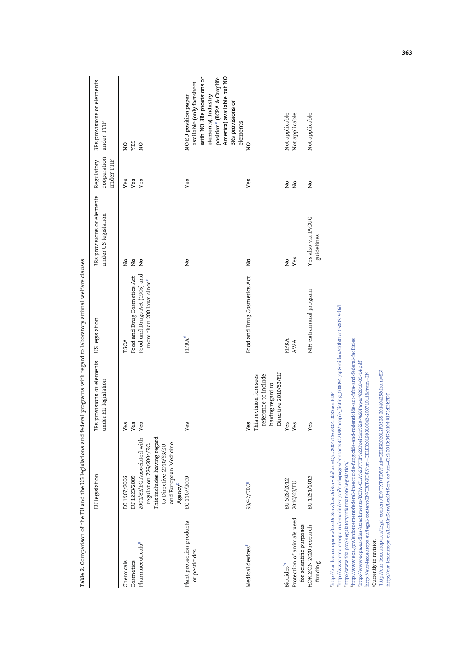| Yes<br>Yes<br>Yes<br>Yes<br>regulation 726/2004/EC.<br>This includes having regard<br>2001/83/EC Associated with<br>and European Medicine<br>to Directive 2010/63/EU<br>EC 1907/2006<br>EU 1223/2009<br>EC 1107/2009<br>Agency <sup>b</sup><br>Plant protection products<br>Pharmaceuticals <sup>a</sup><br>or pesticides<br>Chemicals<br>Cosmetics |                                                                        |                                  | cooperation<br>under TTIP | under TTIP                                                                                                                                                                                                    |
|-----------------------------------------------------------------------------------------------------------------------------------------------------------------------------------------------------------------------------------------------------------------------------------------------------------------------------------------------------|------------------------------------------------------------------------|----------------------------------|---------------------------|---------------------------------------------------------------------------------------------------------------------------------------------------------------------------------------------------------------|
|                                                                                                                                                                                                                                                                                                                                                     | Food and Drug Cosmetics Act<br>TSCA                                    | ş<br>ž                           | Yes<br>Yes                | YES<br>ă                                                                                                                                                                                                      |
|                                                                                                                                                                                                                                                                                                                                                     | Food and Drugs Act (1906) and<br>more than 200 laws since <sup>c</sup> | Ş                                | Yes                       | $\overline{a}$                                                                                                                                                                                                |
|                                                                                                                                                                                                                                                                                                                                                     | <b>FIFRA<sup>d</sup></b>                                               | ž                                | Yes                       | position <sup>e</sup> (ECPA & Croplife<br>America) available but NO<br>with NO 3Rs provisions or<br>available (only factsheet<br>NO EU position paper<br>elements). Industry<br>3Rs provisions or<br>elements |
| Directive 2010/63/EU<br>This revision foresees<br>reference to include<br>having regard to<br>Yes<br>93/42/EEC <sup>g</sup><br>Medical devices <sup>f</sup>                                                                                                                                                                                         | Food and Drug Cosmetics Act                                            | ž                                | Yes                       | $_{\rm z}^{\rm o}$                                                                                                                                                                                            |
| Yes<br>Yes<br>EU 528/2012<br>2010/63/EU<br>Protection of animals used<br>for scientific purposes<br><b>Biocides</b> <sup>h</sup>                                                                                                                                                                                                                    | FIFRA<br>AWA                                                           | Yes<br>ş                         | ş<br>ş                    | Not applicable<br>Not applicable                                                                                                                                                                              |
| Yes<br>EU 1291/2013<br>HORIZON 2020 research<br>funding <sup>1</sup>                                                                                                                                                                                                                                                                                | NIH extramural program                                                 | Yes also via IACUC<br>guidelines | ž                         | Not applicable                                                                                                                                                                                                |

Table 2. Comparison of the EU and the US legislations and federal programs with regard to laboratory animal welfare clauses Table 2. Comparison of the EU and the US legislations and federal programs with regard to laboratory animal welfare clauses

"http://eur-lex.europa.eu/LexUnServ/LexUnServ.do?un=OJ:L:2004:136:0001:0033:en:PDF<br><sup>b</sup>http://www.ema.europa.eu/ema/index.jsp?curl=pages/contacts/CVMP/people\_listing\_000094.jsp&rnid=WC0b01ac05803a9d6d  $^{\tt{n}}$ http://eur-lex.europa.eu/LexUriServ/LexUriServ.do?uri=OJ:L:2004:136:0001:0033:en:PDF

bhttp://www.ema.europa.eu/ema/index.jsp?curl=pages/contacts/CVMP/people\_listing\_000094.jsp&mid=WC0b01ac05803a9d6d http://www.fda.gov/RegulatoryInformation/Legislation/

chttp://www.fda.gov/RegulatoryInformation/Legislation/  $d_{\rm http://www.epa.gov/enforcement/federal-insecticide-fungcide-and-rodenaticide-ard-infac-denderal-facilities$ 

<sup>4</sup>http://www.epa.gov/enforcement/federal-insecticide-fungicide-and-rodenticide-act-fifra-and-federal-facilities<br><sup>4</sup>http://www.ecpa.eu/files/attachments/ECPA-CLA%20TTIP%20Position%20-%20Paper%2010-03-14.pdf<br><sup>4</sup>http://eur-l ehttp://www.ecpa.eu/files/attachments/ECPA-CLA%20TTIP%20Position%20-%20Paper%2010-03-14.pdf

fhttp://eur-lex.europa.eu/legal-content/EN/TXT/PDF/?uri=CELEX:01993L0042-20071011&from=EN <sup>8</sup>Currently in revision

h<sub>lttp://eur-lex.europa.eu/legal-content/EN/TXT/PDF/?uri=CELEX.02012R0528-20140425&from=EN<br>http://eur-lex.europa.eu/LexUriServ/LexUriServ.do?uri=OJ:1.2013:947.0104:0173:EN:PDF</sub> hhttp://eur-lex.europa.eu/legal-content/EN/TXT/PDF/?uri=CELEX:02012R0528-20140425&from=EN ihttp://eur-lex.europa.eu/LexUriServ/LexUriServ.do?uri=OJ:L:2013:347:0104:0173:EN:PDF gCurrently in revision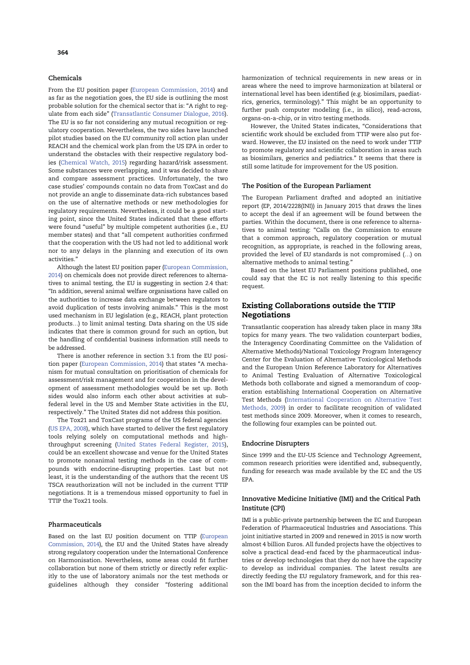## Chemicals

From the EU position paper (European Commission, 2014) and as far as the negotiation goes, the EU side is outlining the most probable solution for the chemical sector that is: "A right to regulate from each side" (Transatlantic Consumer Dialogue, 2016). The EU is so far not considering any mutual recognition or regulatory cooperation. Nevertheless, the two sides have launched pilot studies based on the EU community roll action plan under REACH and the chemical work plan from the US EPA in order to understand the obstacles with their respective regulatory bodies (Chemical Watch, 2015) regarding hazard/risk assessment. Some substances were overlapping, and it was decided to share and compare assessment practices. Unfortunately, the two case studies' compounds contain no data from ToxCast and do not provide an angle to disseminate data-rich substances based on the use of alternative methods or new methodologies for regulatory requirements. Nevertheless, it could be a good starting point, since the United States indicated that these efforts were found "useful" by multiple competent authorities (i.e., EU member states) and that "all competent authorities confirmed that the cooperation with the US had not led to additional work nor to any delays in the planning and execution of its own activities."

Although the latest EU position paper (European Commission, 2014) on chemicals does not provide direct references to alternatives to animal testing, the EU is suggesting in section 2.4 that: "In addition, several animal welfare organisations have called on the authorities to increase data exchange between regulators to avoid duplication of tests involving animals." This is the most used mechanism in EU legislation (e.g., REACH, plant protection products…) to limit animal testing. Data sharing on the US side indicates that there is common ground for such an option, but the handling of confidential business information still needs to be addressed.

There is another reference in section 3.1 from the EU position paper (European Commission, 2014) that states "A mechanism for mutual consultation on prioritisation of chemicals for assessment/risk management and for cooperation in the development of assessment methodologies would be set up. Both sides would also inform each other about activities at subfederal level in the US and Member State activities in the EU, respectively." The United States did not address this position.

The Tox21 and ToxCast programs of the US federal agencies (US EPA, 2008), which have started to deliver the first regulatory tools relying solely on computational methods and highthroughput screening (United States Federal Register, 2015), could be an excellent showcase and venue for the United States to promote nonanimal testing methods in the case of compounds with endocrine-disrupting properties. Last but not least, it is the understanding of the authors that the recent US TSCA reauthorization will not be included in the current TTIP negotiations. It is a tremendous missed opportunity to fuel in TTIP the Tox21 tools.

## Pharmaceuticals

Based on the last EU position document on TTIP (European Commission, 2014), the EU and the United States have already strong regulatory cooperation under the International Conference on Harmonisation. Nevertheless, some areas could fit further collaboration but none of them strictly or directly refer explicitly to the use of laboratory animals nor the test methods or guidelines although they consider "fostering additional

harmonization of technical requirements in new areas or in areas where the need to improve harmonization at bilateral or international level has been identified (e.g. biosimilars, paediatrics, generics, terminology)." This might be an opportunity to further push computer modeling (i.e., in silico), read-across, organs-on-a-chip, or in vitro testing methods.

However, the United States indicates, "Considerations that scientific work should be excluded from TTIP were also put forward. However, the EU insisted on the need to work under TTIP to promote regulatory and scientific collaboration in areas such as biosimilars, generics and pediatrics." It seems that there is still some latitude for improvement for the US position.

## The Position of the European Parliament

The European Parliament drafted and adopted an initiative report (EP, 2014/2228(INI)) in January 2015 that draws the lines to accept the deal if an agreement will be found between the parties. Within the document, there is one reference to alternatives to animal testing: "Calls on the Commission to ensure that a common approach, regulatory cooperation or mutual recognition, as appropriate, is reached in the following areas, provided the level of EU standards is not compromised (…) on alternative methods to animal testing."

Based on the latest EU Parliament positions published, one could say that the EC is not really listening to this specific request.

# Existing Collaborations outside the TTIP Negotiations

Transatlantic cooperation has already taken place in many 3Rs topics for many years. The two validation counterpart bodies, the Interagency Coordinating Committee on the Validation of Alternative Methods)/National Toxicology Program Interagency Center for the Evaluation of Alternative Toxicological Methods and the European Union Reference Laboratory for Alternatives to Animal Testing Evaluation of Alternative Toxicological Methods both collaborate and signed a memorandum of cooperation establishing International Cooperation on Alternative Test Methods (International Cooperation on Alternative Test Methods, 2009) in order to facilitate recognition of validated test methods since 2009. Moreover, when it comes to research, the following four examples can be pointed out.

## Endocrine Disrupters

Since 1999 and the EU-US Science and Technology Agreement, common research priorities were identified and, subsequently, funding for research was made available by the EC and the US EPA.

## Innovative Medicine Initiative (IMI) and the Critical Path Institute (CPI)

IMI is a public-private partnership between the EC and European Federation of Pharmaceutical Industries and Associations. This joint initiative started in 2009 and renewed in 2015 is now worth almost 4 billion Euros. All funded projects have the objectives to solve a practical dead-end faced by the pharmaceutical industries or develop technologies that they do not have the capacity to develop as individual companies. The latest results are directly feeding the EU regulatory framework, and for this reason the IMI board has from the inception decided to inform the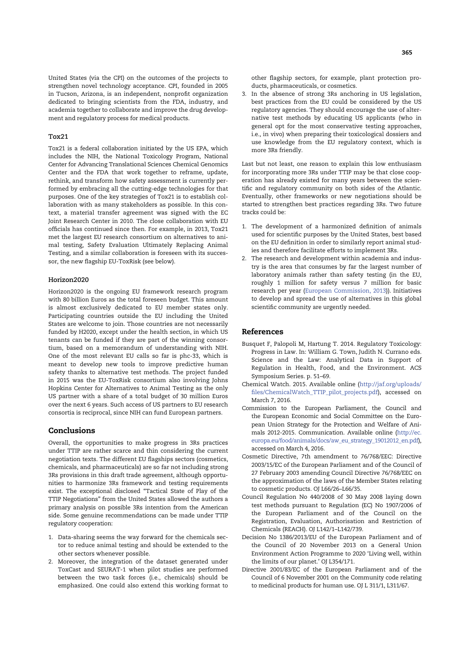United States (via the CPI) on the outcomes of the projects to strengthen novel technology acceptance. CPI, founded in 2005 in Tucson, Arizona, is an independent, nonprofit organization dedicated to bringing scientists from the FDA, industry, and academia together to collaborate and improve the drug development and regulatory process for medical products.

## Tox21

Tox21 is a federal collaboration initiated by the US EPA, which includes the NIH, the National Toxicology Program, National Center for Advancing Translational Sciences Chemical Genomics Center and the FDA that work together to reframe, update, rethink, and transform how safety assessment is currently performed by embracing all the cutting-edge technologies for that purposes. One of the key strategies of Tox21 is to establish collaboration with as many stakeholders as possible. In this context, a material transfer agreement was signed with the EC Joint Research Center in 2010. The close collaboration with EU officials has continued since then. For example, in 2013, Tox21 met the largest EU research consortium on alternatives to animal testing, Safety Evaluation Ultimately Replacing Animal Testing, and a similar collaboration is foreseen with its successor, the new flagship EU-ToxRisk (see below).

#### Horizon2020

Horizon2020 is the ongoing EU framework research program with 80 billion Euros as the total foreseen budget. This amount is almost exclusively dedicated to EU member states only. Participating countries outside the EU including the United States are welcome to join. Those countries are not necessarily funded by H2020, except under the health section, in which US tenants can be funded if they are part of the winning consortium, based on a memorandum of understanding with NIH. One of the most relevant EU calls so far is phc-33, which is meant to develop new tools to improve predictive human safety thanks to alternative test methods. The project funded in 2015 was the EU-ToxRisk consortium also involving Johns Hopkins Center for Alternatives to Animal Testing as the only US partner with a share of a total budget of 30 million Euros over the next 6 years. Such access of US partners to EU research consortia is reciprocal, since NIH can fund European partners.

# Conclusions

Overall, the opportunities to make progress in 3Rs practices under TTIP are rather scarce and thin considering the current negotiation texts. The different EU flagships sectors (cosmetics, chemicals, and pharmaceuticals) are so far not including strong 3Rs provisions in this draft trade agreement, although opportunities to harmonize 3Rs framework and testing requirements exist. The exceptional disclosed "Tactical State of Play of the TTIP Negotiations" from the United States allowed the authors a primary analysis on possible 3Rs intention from the American side. Some genuine recommendations can be made under TTIP regulatory cooperation:

- 1. Data-sharing seems the way forward for the chemicals sector to reduce animal testing and should be extended to the other sectors whenever possible.
- 2. Moreover, the integration of the dataset generated under ToxCast and SEURAT-1 when pilot studies are performed between the two task forces (i.e., chemicals) should be emphasized. One could also extend this working format to

other flagship sectors, for example, plant protection products, pharmaceuticals, or cosmetics.

3. In the absence of strong 3Rs anchoring in US legislation, best practices from the EU could be considered by the US regulatory agencies. They should encourage the use of alternative test methods by educating US applicants (who in general opt for the most conservative testing approaches, i.e., in vivo) when preparing their toxicological dossiers and use knowledge from the EU regulatory context, which is more 3Rs friendly.

Last but not least, one reason to explain this low enthusiasm for incorporating more 3Rs under TTIP may be that close cooperation has already existed for many years between the scientific and regulatory community on both sides of the Atlantic. Eventually, other frameworks or new negotiations should be started to strengthen best practices regarding 3Rs. Two future tracks could be:

- 1. The development of a harmonized definition of animals used for scientific purposes by the United States, best based on the EU definition in order to similarly report animal studies and therefore facilitate efforts to implement 3Rs.
- 2. The research and development within academia and industry is the area that consumes by far the largest number of laboratory animals rather than safety testing (in the EU, roughly 1 million for safety versus 7 million for basic research per year (European Commission, 2013)). Initiatives to develop and spread the use of alternatives in this global scientific community are urgently needed.

## References

- Busquet F, Palopoli M, Hartung T. 2014. Regulatory Toxicology: Progress in Law. In: William G. Town, Judith N. Currano eds. Science and the Law: Analytical Data in Support of Regulation in Health, Food, and the Environment. ACS Symposium Series. p. 51–69.
- Chemical Watch. 2015. Available online (http://jaf.org/uploads/ files/ChemicalWatch\_TTIP\_pilot\_projects.pdf), accessed on March 7, 2016.
- Commission to the European Parliament, the Council and the European Economic and Social Committee on the European Union Strategy for the Protection and Welfare of Animals 2012-2015. Communication. Available online (http://ec. europa.eu/food/animals/docs/aw\_eu\_strategy\_19012012\_en.pdf), accessed on March 4, 2016.
- Cosmetic Directive, 7th amendment to 76/768/EEC: Directive 2003/15/EC of the European Parliament and of the Council of 27 February 2003 amending Council Directive 76/768/EEC on the approximation of the laws of the Member States relating to cosmetic products. OJ L66/26–L66/35.
- Council Regulation No 440/2008 of 30 May 2008 laying down test methods pursuant to Regulation (EC) No 1907/2006 of the European Parliament and of the Council on the Registration, Evaluation, Authorisation and Restriction of Chemicals (REACH). OJ L142/1–L142/739.
- Decision No 1386/2013/EU of the European Parliament and of the Council of 20 November 2013 on a General Union Environment Action Programme to 2020 'Living well, within the limits of our planet.' OJ L354/171.
- Directive 2001/83/EC of the European Parliament and of the Council of 6 November 2001 on the Community code relating to medicinal products for human use. OJ L 311/1, L311/67.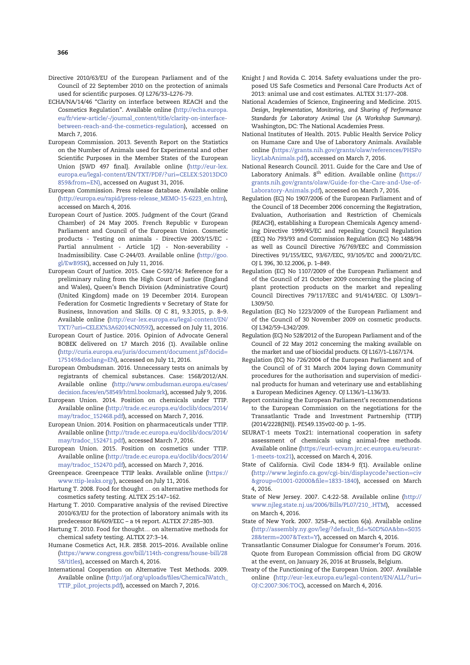- Directive 2010/63/EU of the European Parliament and of the Council of 22 September 2010 on the protection of animals used for scientific purposes. OJ L276/33–L276-79.
- ECHA/NA/14/46 "Clarity on interface between REACH and the Cosmetics Regulation". Available online (http://echa.europa. eu/fr/view-article/-/journal\_content/title/clarity-on-interfacebetween-reach-and-the-cosmetics-regulation), accessed on March 7, 2016.
- European Commission. 2013. Seventh Report on the Statistics on the Number of Animals used for Experimental and other Scientific Purposes in the Member States of the European Union {SWD 497 final}. Available online (http://eur-lex. europa.eu/legal-content/EN/TXT/PDF/?uri=CELEX:52013DC0 859&from=EN), accessed on August 31, 2016.
- European Commission. Press release database. Available online (http://europa.eu/rapid/press-release\_MEMO-15-6223\_en.htm), accessed on March 4, 2016.
- European Court of Justice. 2005. Judgment of the Court (Grand Chamber) of 24 May 2005. French Republic v European Parliament and Council of the European Union. Cosmetic products - Testing on animals - Directive 2003/15/EC - Partial annulment - Article 1(2) - Non-severability - Inadmissibility. Case C-244/03. Available online (http://goo. gl/EwB9SK), accessed on July 11, 2016.
- European Court of Justice. 2015. Case C-592/14: Reference for a preliminary ruling from the High Court of Justice (England and Wales), Queen's Bench Division (Administrative Court) (United Kingdom) made on 19 December 2014. European Federation for Cosmetic Ingredients v Secretary of State for Business, Innovation and Skills. OJ C 81, 9.3.2015, p. 8–9. Available online (http://eur-lex.europa.eu/legal-content/EN/ TXT/?uri=CELEX%3A62014CN0592), accessed on July 11, 2016.
- European Court of Justice. 2016. Opinion of Advocate General BOBEK delivered on 17 March 2016 (1). Available online (http://curia.europa.eu/juris/document/document.jsf?docid= 175149&doclang=EN), accessed on July 11, 2016.
- European Ombudsman. 2016. Unnecessary tests on animals by registrants of chemical substances. Case: 1568/2012/AN. Available online (http://www.ombudsman.europa.eu/cases/ decision.faces/en/58549/html.bookmark), accessed July 9, 2016.
- European Union. 2014. Position on chemicals under TTIP. Available online (http://trade.ec.europa.eu/doclib/docs/2014/ may/tradoc\_152468.pdf), accessed on March 7, 2016.
- European Union. 2014. Position on pharmaceuticals under TTIP. Available online (http://trade.ec.europa.eu/doclib/docs/2014/ may/tradoc\_152471.pdf), accessed March 7, 2016.
- European Union. 2015. Position on cosmetics under TTIP. Available online (http://trade.ec.europa.eu/doclib/docs/2014/ may/tradoc\_152470.pdf), accessed on March 7, 2016.
- Greenpeace. Greenpeace TTIP leaks. Available online (https:// www.ttip-leaks.org/), accessed on July 11, 2016.
- Hartung T. 2008. Food for thought … on alternative methods for cosmetics safety testing. ALTEX 25:147–162.
- Hartung T. 2010. Comparative analysis of the revised Directive 2010/63/EU for the protection of laboratory animals with its predecessor 86/609/EEC – a t4 report. ALTEX 27:285–303.
- Hartung T. 2010. Food for thought… on alternative methods for chemical safety testing. ALTEX 27:3–14.
- Humane Cosmetics Act, H.R. 2858. 2015–2016. Available online (https://www.congress.gov/bill/114th-congress/house-bill/28 58/titles), accessed on March 4, 2016.
- International Cooperation on Alternative Test Methods. 2009. Available online (http://jaf.org/uploads/files/ChemicalWatch\_ TTIP\_pilot\_projects.pdf), accessed on March 7, 2016.
- Knight J and Rovida C. 2014. Safety evaluations under the proposed US Safe Cosmetics and Personal Care Products Act of 2013: animal use and cost estimates. ALTEX 31:177–208.
- National Academies of Science, Engineering and Medicine. 2015. Design, Implementation, Monitoring, and Sharing of Performance Standards for Laboratory Animal Use (A Workshop Summary). Washington, DC: The National Academies Press.
- National Institutes of Health. 2015. Public Health Service Policy on Humane Care and Use of Laboratory Animals. Available online (https://grants.nih.gov/grants/olaw/references/PHSPo licyLabAnimals.pdf), accessed on March 7, 2016.
- National Research Council. 2011. Guide for the Care and Use of Laboratory Animals. 8<sup>th</sup> edition. Available online (https:// grants.nih.gov/grants/olaw/Guide-for-the-Care-and-Use-of-Laboratory-Animals.pdf), accessed on March 7, 2016.
- Regulation (EC) No 1907/2006 of the European Parliament and of the Council of 18 December 2006 concerning the Registration, Evaluation, Authorisation and Restriction of Chemicals (REACH), establishing a European Chemicals Agency amending Directive 1999/45/EC and repealing Council Regulation (EEC) No 793/93 and Commission Regulation (EC) No 1488/94 as well as Council Directive 76/769/EEC and Commission Directives 91/155/EEC, 93/67/EEC, 93/105/EC and 2000/21/EC. OJ L 396, 30.12.2006, p. 1–849.
- Regulation (EC) No 1107/2009 of the European Parliament and of the Council of 21 October 2009 concerning the placing of plant protection products on the market and repealing Council Directives 79/117/EEC and 91/414/EEC. OJ L309/1– L309/50.
- Regulation (EC) No 1223/2009 of the European Parliament and of the Council of 30 November 2009 on cosmetic products. OJ L342/59–L342/209.
- Regulation (EC) No 528/2012 of the European Parliament and of the Council of 22 May 2012 concerning the making available on the market and use of biocidal products. OJ L167/1–L167/174.
- Regulation (EC) No 726/2004 of the European Parliament and of the Council of of 31 March 2004 laying down Community procedures for the authorisation and supervision of medicinal products for human and veterinary use and establishing a European Medicines Agency. OJ L136/1–L136/33.
- Report containing the European Parliament's recommendations to the European Commission on the negotiations for the Transatlantic Trade and Investment Partnership (TTIP) (2014/2228(INI)). PE549.135v02-00 p. 1–95.
- SEURAT-1 meets Tox21: international cooperation in safety assessment of chemicals using animal-free methods. Available online (https://eurl-ecvam.jrc.ec.europa.eu/seurat-1-meets-tox21), accessed on March 4, 2016.
- State of California. Civil Code 1834-9 f(1). Available online (http://www.leginfo.ca.gov/cgi-bin/displaycode?section=civ &group=01001-02000&file=1833-1840), accessed on March 4, 2016.
- State of New Jersey. 2007. C.4:22-58. Available online (http:// www.njleg.state.nj.us/2006/Bills/PL07/210\_.HTM), accessed on March 4, 2016.
- State of New York. 2007. 3258–A, section 6(a). Available online (http://assembly.ny.gov/leg/?default\_fld=%0D%0A&bn=S035 28&term=2007&Text=Y), accessed on March 4, 2016.
- Transatlantic Consumer Dialogue for Consumer's Forum. 2016. Quote from European Commission official from DG GROW at the event, on January 26, 2016 at Brussels, Belgium.
- Treaty of the Functioning of the European Union. 2007. Available online (http://eur-lex.europa.eu/legal-content/EN/ALL/?uri= OJ:C:2007:306:TOC), accessed on March 4, 2016.